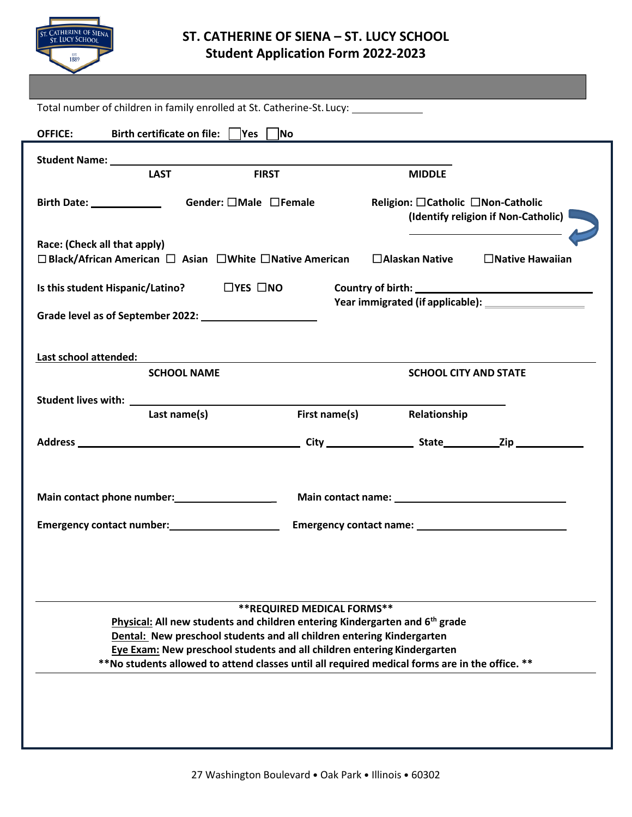

## **ST. CATHERINE OF SIENA – ST. LUCY SCHOOL Student Application Form 2022-2023**

| Total number of children in family enrolled at St. Catherine-St. Lucy: __________                                                                |                             |                                                                            |                        |  |  |
|--------------------------------------------------------------------------------------------------------------------------------------------------|-----------------------------|----------------------------------------------------------------------------|------------------------|--|--|
| Birth certificate on file:    Yes    No<br><b>OFFICE:</b>                                                                                        |                             |                                                                            |                        |  |  |
|                                                                                                                                                  |                             |                                                                            |                        |  |  |
| <b>FIRST</b><br><b>LAST</b>                                                                                                                      |                             | <b>MIDDLE</b>                                                              |                        |  |  |
| Gender: □Male □Female                                                                                                                            |                             | Religion: □ Catholic □ Non-Catholic<br>(Identify religion if Non-Catholic) |                        |  |  |
| Race: (Check all that apply)<br>$\Box$ Black/African American $\Box$ Asian $\Box$ White $\Box$ Native American                                   |                             | $\Box$ Alaskan Native                                                      | $\Box$ Native Hawaiian |  |  |
| Is this student Hispanic/Latino? $\Box$ YES $\Box$ NO                                                                                            |                             |                                                                            |                        |  |  |
|                                                                                                                                                  |                             |                                                                            |                        |  |  |
|                                                                                                                                                  |                             |                                                                            |                        |  |  |
| Last school attended:                                                                                                                            |                             |                                                                            |                        |  |  |
| <b>SCHOOL NAME</b>                                                                                                                               |                             | <b>SCHOOL CITY AND STATE</b>                                               |                        |  |  |
|                                                                                                                                                  |                             |                                                                            |                        |  |  |
| Last name(s)                                                                                                                                     | First name(s)               | Relationship                                                               |                        |  |  |
|                                                                                                                                                  |                             |                                                                            |                        |  |  |
|                                                                                                                                                  |                             |                                                                            |                        |  |  |
| Main contact phone number:<br>Main contact phone number:                                                                                         |                             |                                                                            |                        |  |  |
|                                                                                                                                                  |                             |                                                                            |                        |  |  |
| Emergency contact number:<br><u>Emergency</u> contact number:                                                                                    |                             |                                                                            |                        |  |  |
|                                                                                                                                                  |                             |                                                                            |                        |  |  |
|                                                                                                                                                  |                             |                                                                            |                        |  |  |
|                                                                                                                                                  | ** REQUIRED MEDICAL FORMS** |                                                                            |                        |  |  |
| Physical: All new students and children entering Kindergarten and 6 <sup>th</sup> grade                                                          |                             |                                                                            |                        |  |  |
| Dental: New preschool students and all children entering Kindergarten<br>Eye Exam: New preschool students and all children entering Kindergarten |                             |                                                                            |                        |  |  |
| **No students allowed to attend classes until all required medical forms are in the office. **                                                   |                             |                                                                            |                        |  |  |
|                                                                                                                                                  |                             |                                                                            |                        |  |  |
|                                                                                                                                                  |                             |                                                                            |                        |  |  |
|                                                                                                                                                  |                             |                                                                            |                        |  |  |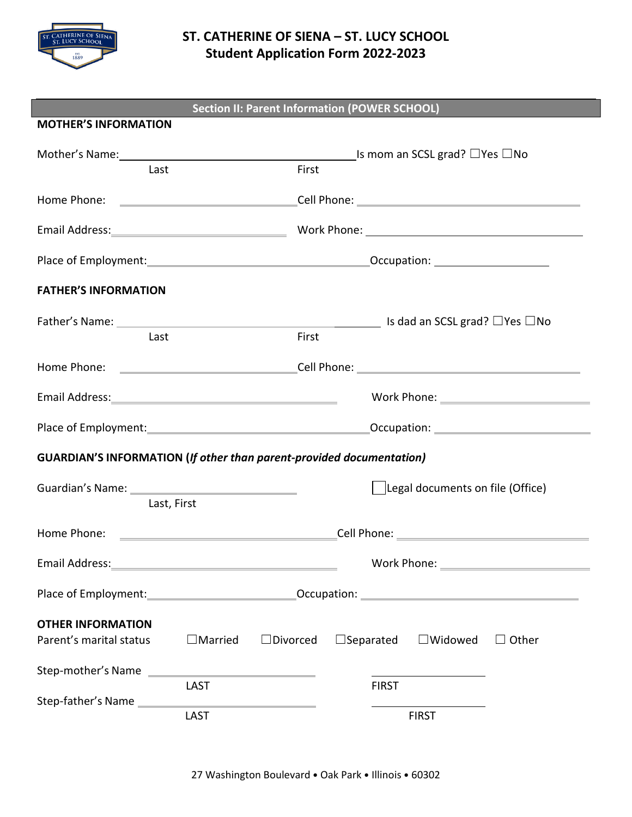

## **ST. CATHERINE OF SIENA – ST. LUCY SCHOOL Student Application Form 2022-2023**

| Section II: Parent Information (POWER SCHOOL)                               |                                  |                 |                                                                                              |              |              |
|-----------------------------------------------------------------------------|----------------------------------|-----------------|----------------------------------------------------------------------------------------------|--------------|--------------|
| <b>MOTHER'S INFORMATION</b>                                                 |                                  |                 |                                                                                              |              |              |
|                                                                             |                                  |                 | Mother's Name: Mother's Name: Mother's Name: Mother's Name: Mother's Name: Mother's Name: Mo |              |              |
| Last                                                                        |                                  | First           |                                                                                              |              |              |
|                                                                             |                                  |                 |                                                                                              |              |              |
|                                                                             |                                  |                 |                                                                                              |              |              |
|                                                                             |                                  |                 |                                                                                              |              |              |
| <b>FATHER'S INFORMATION</b>                                                 |                                  |                 |                                                                                              |              |              |
|                                                                             |                                  |                 |                                                                                              |              |              |
| Last                                                                        |                                  | First           |                                                                                              |              |              |
|                                                                             |                                  |                 |                                                                                              |              |              |
|                                                                             |                                  |                 |                                                                                              |              |              |
|                                                                             |                                  |                 |                                                                                              |              |              |
| <b>GUARDIAN'S INFORMATION (If other than parent-provided documentation)</b> |                                  |                 |                                                                                              |              |              |
|                                                                             | Legal documents on file (Office) |                 |                                                                                              |              |              |
| Last, First                                                                 |                                  |                 |                                                                                              |              |              |
|                                                                             |                                  |                 |                                                                                              |              |              |
| Email Address:                                                              |                                  |                 | Work Phone:                                                                                  |              |              |
|                                                                             |                                  |                 |                                                                                              |              |              |
| <b>OTHER INFORMATION</b>                                                    |                                  |                 |                                                                                              |              |              |
| Parent's marital status                                                     | $\Box$ Married                   | $\Box$ Divorced | $\Box$ Separated $\Box$ Widowed                                                              |              | $\Box$ Other |
| Step-mother's Name                                                          |                                  |                 |                                                                                              |              |              |
| Step-father's Name                                                          | LAST                             |                 | <b>FIRST</b>                                                                                 |              |              |
|                                                                             | <b>LAST</b>                      |                 |                                                                                              | <b>FIRST</b> |              |